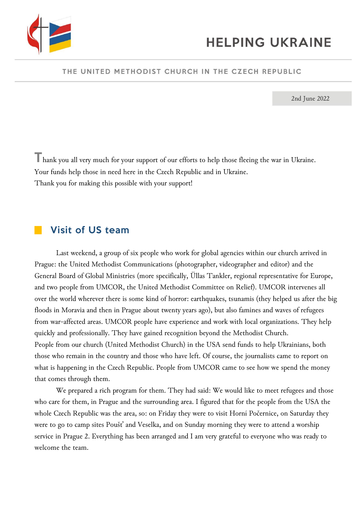

#### THE UNITED METHODIST CHURCH IN THE CZECH REPUBLIC

2nd June 2022

Thank you all very much for your support of our efforts to help those fleeing the war in Ukraine. Your funds help those in need here in the Czech Republic and in Ukraine. Thank you for making this possible with your support!

### **Visit of US team**

Last weekend, a group of six people who work for global agencies within our church arrived in Prague: the United Methodist Communications (photographer, videographer and editor) and the General Board of Global Ministries (more specifically, Üllas Tankler, regional representative for Europe, and two people from UMCOR, the United Methodist Committee on Relief). UMCOR intervenes all over the world wherever there is some kind of horror: earthquakes, tsunamis (they helped us after the big floods in Moravia and then in Prague about twenty years ago), but also famines and waves of refugees from war-affected areas. UMCOR people have experience and work with local organizations. They help quickly and professionally. They have gained recognition beyond the Methodist Church. People from our church (United Methodist Church) in the USA send funds to help Ukrainians, both those who remain in the country and those who have left. Of course, the journalists came to report on what is happening in the Czech Republic. People from UMCOR came to see how we spend the money that comes through them.

We prepared a rich program for them. They had said: We would like to meet refugees and those who care for them, in Prague and the surrounding area. I figured that for the people from the USA the whole Czech Republic was the area, so: on Friday they were to visit Horní Počernice, on Saturday they were to go to camp sites Poušť and Veselka, and on Sunday morning they were to attend a worship service in Prague 2. Everything has been arranged and I am very grateful to everyone who was ready to welcome the team.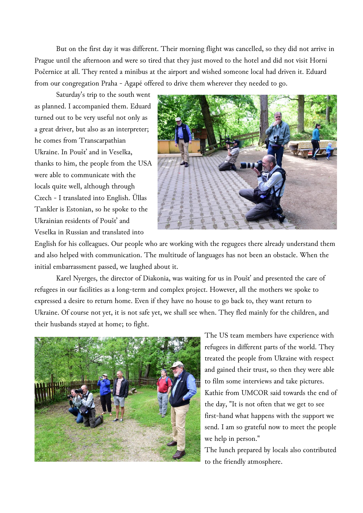But on the first day it was different. Their morning flight was cancelled, so they did not arrive in Prague until the afternoon and were so tired that they just moved to the hotel and did not visit Horní Počernice at all. They rented a minibus at the airport and wished someone local had driven it. Eduard from our congregation Praha - Agapé offered to drive them wherever they needed to go.

Saturday's trip to the south went as planned. I accompanied them. Eduard turned out to be very useful not only as a great driver, but also as an interpreter; he comes from Transcarpathian Ukraine. In Poušť and in Veselka, thanks to him, the people from the USA were able to communicate with the locals quite well, although through Czech - I translated into English. Üllas Tankler is Estonian, so he spoke to the Ukrainian residents of Poušť and Veselka in Russian and translated into



English for his colleagues. Our people who are working with the regugees there already understand them and also helped with communication. The multitude of languages has not been an obstacle. When the initial embarrassment passed, we laughed about it.

Karel Nyerges, the director of Diakonia, was waiting for us in Poušť and presented the care of refugees in our facilities as a long-term and complex project. However, all the mothers we spoke to expressed a desire to return home. Even if they have no house to go back to, they want return to Ukraine. Of course not yet, it is not safe yet, we shall see when. They fled mainly for the children, and their husbands stayed at home; to fight.



The US team members have experience with refugees in different parts of the world. They treated the people from Ukraine with respect and gained their trust, so then they were able to film some interviews and take pictures. Kathie from UMCOR said towards the end of the day, "It is not often that we get to see first-hand what happens with the support we send. I am so grateful now to meet the people we help in person."

The lunch prepared by locals also contributed to the friendly atmosphere.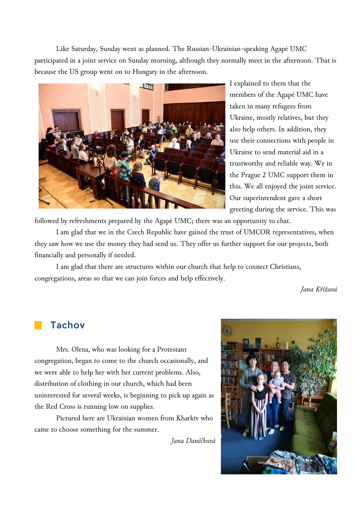Like Saturday, Sunday went as planned. The Russian-Ukrainian-speaking Agapé UMC participated in a joint service on Sunday morning, although they normally meet in the afternoon. That is because the US group went on to Hungary in the afternoon.



I explained to them that the members of the Agapé UMC have taken in many refugees from Ukraine, mostly relatives, but they also help others. In addition, they use their connections with people in Ukraine to send material aid in a trustworthy and reliable way. We in the Prague 2 UMC support them in this. We all enjoyed the joint service. Our superintendent gave a short greeting during the service. This was

followed by refreshments prepared by the Agapé UMC; there was an opportunity to chat.

I am glad that we in the Czech Republic have gained the trust of UMCOR representatives, when they saw how we use the money they had send us. They offer us further support for our projects, both financially and personally if needed.

I am glad that there are structures within our church that help to connect Christians, congregations, areas so that we can join forces and help effectively.

*Jana Křížová*

## **Tachov**

Mrs. Olena, who was looking for a Protestant congregation, began to come to the church occasionally, and we were able to help her with her current problems. Also, distribution of clothing in our church, which had been uninterested for several weeks, is beginning to pick up again as the Red Cross is running low on supplies.

Pictured here are Ukrainian women from Kharkiv who came to choose something for the summer.

*Jana Daněčková*

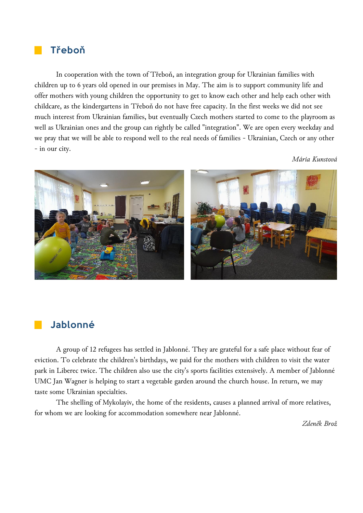#### **Třeboň**

In cooperation with the town of Třeboň, an integration group for Ukrainian families with children up to 6 years old opened in our premises in May. The aim is to support community life and offer mothers with young children the opportunity to get to know each other and help each other with childcare, as the kindergartens in Třeboň do not have free capacity. In the first weeks we did not see much interest from Ukrainian families, but eventually Czech mothers started to come to the playroom as well as Ukrainian ones and the group can rightly be called "integration". We are open every weekday and we pray that we will be able to respond well to the real needs of families - Ukrainian, Czech or any other - in our city.

*Mária Kunstová*



## **Jablonné**

A group of 12 refugees has settled in Jablonné. They are grateful for a safe place without fear of eviction. To celebrate the children's birthdays, we paid for the mothers with children to visit the water park in Liberec twice. The children also use the city's sports facilities extensively. A member of Jablonné UMC Jan Wagner is helping to start a vegetable garden around the church house. In return, we may taste some Ukrainian specialties.

The shelling of Mykolayiv, the home of the residents, causes a planned arrival of more relatives, for whom we are looking for accommodation somewhere near Jablonné.

*Zdeněk Brož*